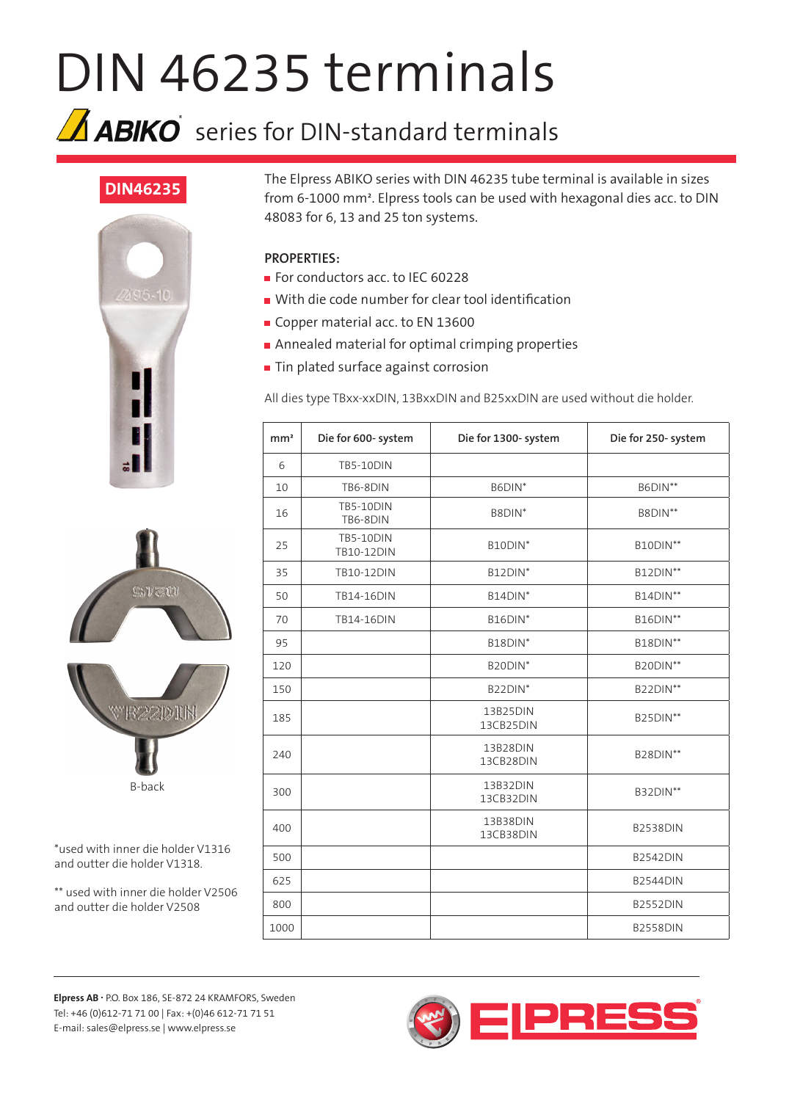## DIN 46235 terminals

## $\Delta$  ABIKO series for DIN-standard terminals

## **DIN46235**







\*used with inner die holder V1316 and outter die holder V1318.

\*\* used with inner die holder V2506 and outter die holder V2508

The Elpress ABIKO series with DIN 46235 tube terminal is available in sizes from 6-1000 mm². Elpress tools can be used with hexagonal dies acc. to DIN 48083 for 6, 13 and 25 ton systems.

## **PROPERTIES:**

- For conductors acc. to IEC 60228
- With die code number for clear tool identification
- Copper material acc. to EN 13600
- **Annealed material for optimal crimping properties**
- **Tin plated surface against corrosion**

All dies type TBxx-xxDIN, 13BxxDIN and B25xxDIN are used without die holder.

| mm <sup>2</sup> | Die for 600- system            | Die for 1300- system  | Die for 250- system |
|-----------------|--------------------------------|-----------------------|---------------------|
| 6               | <b>TB5-10DIN</b>               |                       |                     |
| 10              | TB6-8DIN                       | B6DIN*                | B6DIN**             |
| 16              | <b>TB5-10DIN</b><br>TB6-8DIN   | B8DIN <sup>*</sup>    | B8DIN**             |
| 25              | <b>TB5-10DIN</b><br>TB10-12DIN | B10DIN*               | <b>B10DIN**</b>     |
| 35              | TB10-12DIN                     | B12DIN*               | B12DIN**            |
| 50              | <b>TB14-16DIN</b>              | B14DIN*               | <b>B14DIN**</b>     |
| 70              | <b>TB14-16DIN</b>              | B16DIN*               | <b>B16DIN**</b>     |
| 95              |                                | B18DIN*               | <b>B18DIN**</b>     |
| 120             |                                | B20DIN*               | <b>B20DIN**</b>     |
| 150             |                                | B22DIN*               | <b>B22DIN**</b>     |
| 185             |                                | 13B25DIN<br>13CB25DIN | <b>B25DIN**</b>     |
| 240             |                                | 13B28DIN<br>13CB28DIN | <b>B28DIN**</b>     |
| 300             |                                | 13B32DIN<br>13CB32DIN | <b>B32DIN**</b>     |
| 400             |                                | 13B38DIN<br>13CB38DIN | <b>B2538DIN</b>     |
| 500             |                                |                       | <b>B2542DIN</b>     |
| 625             |                                |                       | <b>B2544DIN</b>     |
| 800             |                                |                       | <b>B2552DIN</b>     |
| 1000            |                                |                       | <b>B2558DIN</b>     |

**Elpress AB .** P.O. Box 186, SE-872 24 KRAMFORS, Sweden Tel: +46 (0)612-71 71 00 | Fax: +(0)46 612-71 71 51 E-mail: sales@elpress.se | www.elpress.se